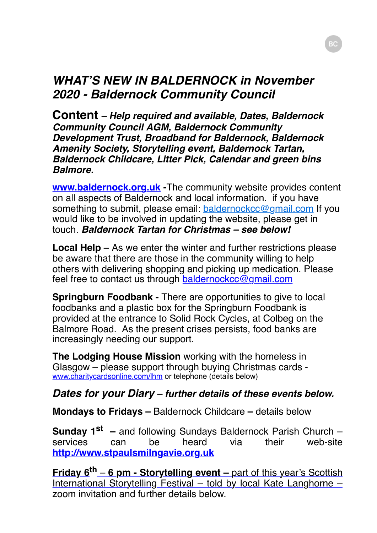# *WHAT'S NEW IN BALDERNOCK in November 2020 - Baldernock Community Council*

**Content** *– Help required and available, Dates, Baldernock Community Council AGM, Baldernock Community Development Trust, Broadband for Baldernock, Baldernock Amenity Society, Storytelling event, Baldernock Tartan, Baldernock Childcare, Litter Pick, Calendar and green bins Balmore.* 

**[www.baldernock.org.uk](http://www.baldernock.org.uk/) -**The community website provides content on all aspects of Baldernock and local information. if you have something to submit, please email: [baldernockcc@gmail.com](mailto:baldernockcc@gmail.com) If you would like to be involved in updating the website, please get in touch. *Baldernock Tartan for Christmas – see below!*

**Local Help –** As we enter the winter and further restrictions please be aware that there are those in the community willing to help others with delivering shopping and picking up medication. Please feel free to contact us through [baldernockcc@gmail.com](mailto:baldernockcc@gmail.com)

**Springburn Foodbank -** There are opportunities to give to local foodbanks and a plastic box for the Springburn Foodbank is provided at the entrance to Solid Rock Cycles, at Colbeg on the Balmore Road. As the present crises persists, food banks are increasingly needing our support.

**The Lodging House Mission** working with the homeless in Glasgow – please support through buying Christmas cards [www.charitycardsonline.com/lhm](http://www.charitycardsonline.com/lhm) or telephone (details below)

# *Dates for your Diary – further details of these events below.*

**Mondays to Fridays –** Baldernock Childcare **–** details below

**Sunday 1st –** and following Sundays Baldernock Parish Church – services can be heard via their web-site **[http://www.stpaulsmilngavie.org.uk](http://www.stpaulsmilngavie.org.uk/)**

**Friday 6th** – **6 pm - Storytelling event –** part of this year's Scottish International Storytelling Festival – told by local Kate Langhorne – zoom invitation and further details below.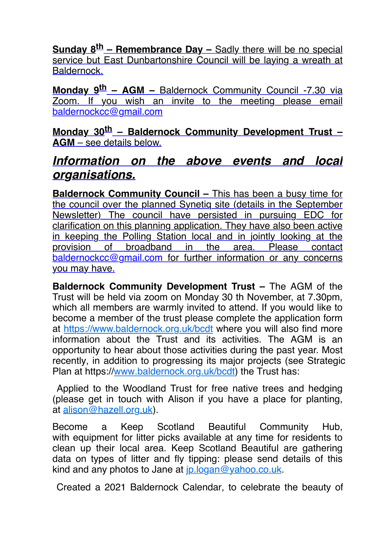**Sunday 8th – Remembrance Day –** Sadly there will be no special service but East Dunbartonshire Council will be laying a wreath at Baldernock.

**Monday 9th – AGM –** Baldernock Community Council -7.30 via Zoom. If you wish an invite to the meeting please email [baldernockcc@gmail.com](mailto:baldernockcc@gmail.com)

**Monday 30th – Baldernock Community Development Trust – AGM** – see details below.

# *Information on the above events and local organisations.*

**Baldernock Community Council – This has been a busy time for** the council over the planned Synetiq site (details in the September Newsletter) The council have persisted in pursuing EDC for clarification on this planning application. They have also been active in keeping the Polling Station local and in jointly looking at the provision of broadband in the area. Please contact [baldernockcc@gmail.com](mailto:baldernockcc@gmail.com) for further information or any concerns you may have.

**Baldernock Community Development Trust –** The AGM of the Trust will be held via zoom on Monday 30 th November, at 7.30pm, which all members are warmly invited to attend. If you would like to become a member of the trust please complete the application form at <https://www.baldernock.org.uk/bcdt> where you will also find more information about the Trust and its activities. The AGM is an opportunity to hear about those activities during the past year. Most recently, in addition to progressing its major projects (see Strategic Plan at https:/[/www.baldernock.org.uk/bcd](http://www.baldernock.org.uk/bcdt)t) the Trust has:

 Applied to the Woodland Trust for free native trees and hedging (please get in touch with Alison if you have a place for planting, at [alison@hazell.org.uk](mailto:alison@hazell.org.uk)).

Become a Keep Scotland Beautiful Community Hub, with equipment for litter picks available at any time for residents to clean up their local area. Keep Scotland Beautiful are gathering data on types of litter and fly tipping: please send details of this kind and any photos to Jane at [jp.logan@yahoo.co.uk.](mailto:jp.logan@yahoo.co.uk)

Created a 2021 Baldernock Calendar, to celebrate the beauty of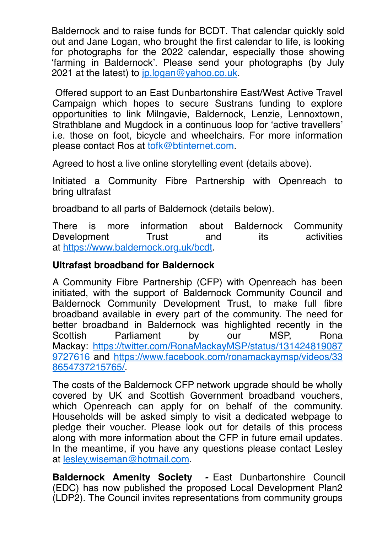Baldernock and to raise funds for BCDT. That calendar quickly sold out and Jane Logan, who brought the first calendar to life, is looking for photographs for the 2022 calendar, especially those showing 'farming in Baldernock'. Please send your photographs (by July 2021 at the latest) to  $ip.logan@yahoo.co.uk$ .

 Offered support to an East Dunbartonshire East/West Active Travel Campaign which hopes to secure Sustrans funding to explore opportunities to link Milngavie, Baldernock, Lenzie, Lennoxtown, Strathblane and Mugdock in a continuous loop for 'active travellers' i.e. those on foot, bicycle and wheelchairs. For more information please contact Ros at [tofk@btinternet.com](mailto:tofk@btinternet.com).

Agreed to host a live online storytelling event (details above).

Initiated a Community Fibre Partnership with Openreach to bring ultrafast

broadband to all parts of Baldernock (details below).

There is more information about Baldernock Community Development Trust and its activities at <https://www.baldernock.org.uk/bcdt>.

### **Ultrafast broadband for Baldernock**

A Community Fibre Partnership (CFP) with Openreach has been initiated, with the support of Baldernock Community Council and Baldernock Community Development Trust, to make full fibre broadband available in every part of the community. The need for better broadband in Baldernock was highlighted recently in the Scottish Parliament by our MSP, Rona [Mackay: https://twitter.com/RonaMackayMSP/status/131424819087](https://twitter.com/RonaMackayMSP/status/1314248190879727616) [9727616 and https://www.facebook.com/ronamackaymsp/videos/33](https://www.facebook.com/ronamackaymsp/videos/338654737215765/) 8654737215765/.

The costs of the Baldernock CFP network upgrade should be wholly covered by UK and Scottish Government broadband vouchers, which Openreach can apply for on behalf of the community. Households will be asked simply to visit a dedicated webpage to pledge their voucher. Please look out for details of this process along with more information about the CFP in future email updates. In the meantime, if you have any questions please contact Lesley at [lesley.wiseman@hotmail.com](mailto:lesley.wiseman@hotmail.com).

**Baldernock Amenity Society** *-* East Dunbartonshire Council (EDC) has now published the proposed Local Development Plan2 (LDP2). The Council invites representations from community groups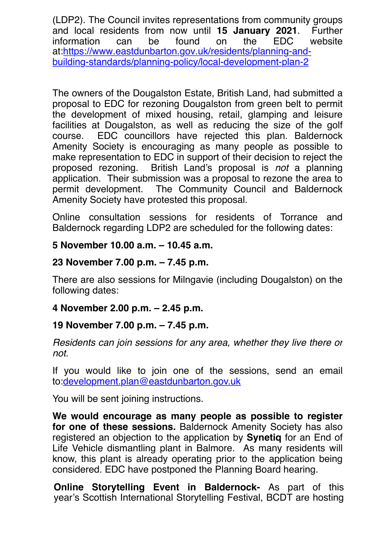(LDP2). The Council invites representations from community groups and local residents from now until **15 January 2021**. Further information can be found on the EDC website at:https://www.eastdunbarton.gov.uk/residents/planning-and[building-standards/planning-policy/local-development-plan-2](https://www.eastdunbarton.gov.uk/residents/planning-and-building-standards/planning-policy/local-development-plan-2)

The owners of the Dougalston Estate, British Land, had submitted a proposal to EDC for rezoning Dougalston from green belt to permit the development of mixed housing, retail, glamping and leisure facilities at Dougalston, as well as reducing the size of the golf course. EDC councillors have rejected this plan. Baldernock Amenity Society is encouraging as many people as possible to make representation to EDC in support of their decision to reject the proposed rezoning. British Land's proposal is *not* a planning application. Their submission was a proposal to rezone the area to permit development. The Community Council and Baldernock Amenity Society have protested this proposal.

Online consultation sessions for residents of Torrance and Baldernock regarding LDP2 are scheduled for the following dates:

#### **5 November 10.00 a.m. – 10.45 a.m.**

#### **23 November 7.00 p.m. – 7.45 p.m.**

There are also sessions for Milngavie (including Dougalston) on the following dates:

## **4 November 2.00 p.m. – 2.45 p.m.**

## **19 November 7.00 p.m. – 7.45 p.m.**

*Residents can join sessions for any area, whether they live there or not.*

If you would like to join one of the sessions, send an email to:[development.plan@eastdunbarton.gov.uk](mailto:development.plan@eastdunbarton.gov.uk)

You will be sent joining instructions.

**We would encourage as many people as possible to register for one of these sessions.** Baldernock Amenity Society has also registered an objection to the application by **Synetiq** for an End of Life Vehicle dismantling plant in Balmore. As many residents will know, this plant is already operating prior to the application being considered. EDC have postponed the Planning Board hearing.

**Online Storytelling Event in Baldernock-** As part of this year's Scottish International Storytelling Festival, BCDT are hosting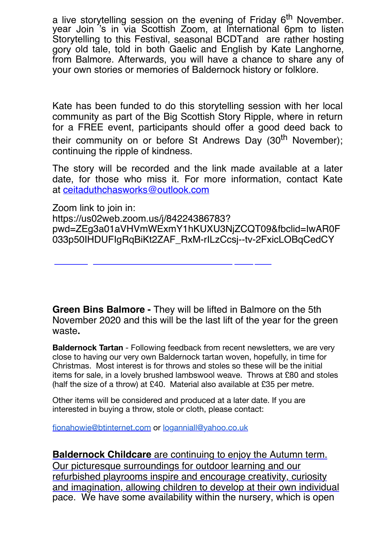a live storytelling session on the evening of Friday 6<sup>th</sup> November. year Join 's in via Scottish Zoom, at International 6pm to listen Storytelling to this Festival, seasonal BCDTand are rather hosting gory old tale, told in both Gaelic and English by Kate Langhorne, from Balmore. Afterwards, you will have a chance to share any of your own stories or memories of Baldernock history or folklore.

Kate has been funded to do this storytelling session with her local community as part of the Big Scottish Story Ripple, where in return for a FREE event, participants should offer a good deed back to their community on or before St Andrews Day (30<sup>th</sup> November); continuing the ripple of kindness.

The story will be recorded and the link made available at a later date, for those who miss it. For more information, contact Kate at [ceitaduthchasworks@outlook.com](mailto:ceitaduthchasworks@outlook.com)

Zoom link to join in: https://us02web.zoom.us/j/84224386783? [pwd=ZEg3a01aVHVmWExmY1hKUXU3NjZCQT09&fbclid=IwAR0F](https://us02web.zoom.us/j/84224386783?pwd=ZEg3a01aVHVmWExmY1hKUXU3NjZCQT09) 033p50IHDUFIgRqBiKt2ZAF\_RxM-rILzCcsj--tv-2FxicLOBqCedCY

**Green Bins Balmore -** They will be lifted in Balmore on the 5th November 2020 and this will be the last lift of the year for the green waste**.**

**Baldernock Tartan** - Following feedback from recent newsletters, we are very close to having our very own Baldernock tartan woven, hopefully, in time for Christmas. Most interest is for throws and stoles so these will be the initial items for sale, in a lovely brushed lambswool weave. Throws at £80 and stoles (half the size of a throw) at £40. Material also available at £35 per metre.

Other items will be considered and produced at a later date. If you are interested in buying a throw, stole or cloth, please contact:

[fionahowie@btinternet.com](mailto:fionahowie@btinternet.com) or [loganniall@yahoo.co.uk](mailto:loganniall@yahoo.co.uk)

**Baldernock Childcare** are continuing to enjoy the Autumn term. Our picturesque surroundings for outdoor learning and our refurbished playrooms inspire and encourage creativity, curiosity and imagination, allowing children to develop at their own individual pace. We have some availability within the nursery, which is open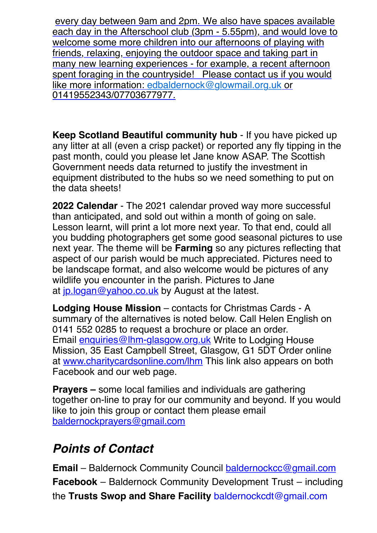every day between 9am and 2pm. We also have spaces available each day in the Afterschool club (3pm - 5.55pm), and would love to welcome some more children into our afternoons of playing with friends, relaxing, enjoying the outdoor space and taking part in many new learning experiences - for example, a recent afternoon spent foraging in the countryside! Please contact us if you would like more information: edbaldernock@glowmail.org.uk or 01419552343/07703677977.

**Keep Scotland Beautiful community hub** - If you have picked up any litter at all (even a crisp packet) or reported any fly tipping in the past month, could you please let Jane know ASAP. The Scottish Government needs data returned to justify the investment in equipment distributed to the hubs so we need something to put on the data sheets!

**2022 Calendar** - The 2021 calendar proved way more successful than anticipated, and sold out within a month of going on sale. Lesson learnt, will print a lot more next year. To that end, could all you budding photographers get some good seasonal pictures to use next year. The theme will be **Farming** so any pictures reflecting that aspect of our parish would be much appreciated. Pictures need to be landscape format, and also welcome would be pictures of any wildlife you encounter in the parish. Pictures to Jane at [jp.logan@yahoo.co.uk](mailto:jp.logan@yahoo.co.uk) by August at the latest.

**Lodging House Mission** – contacts for Christmas Cards - A summary of the alternatives is noted below. Call Helen English on 0141 552 0285 to request a brochure or place an order. Email [enquiries@lhm-glasgow.org.uk](mailto:enquiries@lhm-glasgow.org.uk) Write to Lodging House Mission, 35 East Campbell Street, Glasgow, G1 5DT Order online at [www.charitycardsonline.com/lhm](https://www.cardsonline.co.uk/) This link also appears on both Facebook and our web page.

**Prayers –** some local families and individuals are gathering together on-line to pray for our community and beyond. If you would like to join this group or contact them please email [baldernockprayers@gmail.com](mailto:baldernockprayers@gmail.com)

# *Points of Contact*

**Email** – Baldernock Community Council [baldernockcc@gmail.com](mailto:baldernockcc@gmail.com) **Facebook** – Baldernock Community Development Trust – including the **Trusts Swop and Share Facility** [baldernockcdt@gmail.com](mailto:baldernockcdt@gmail.com)